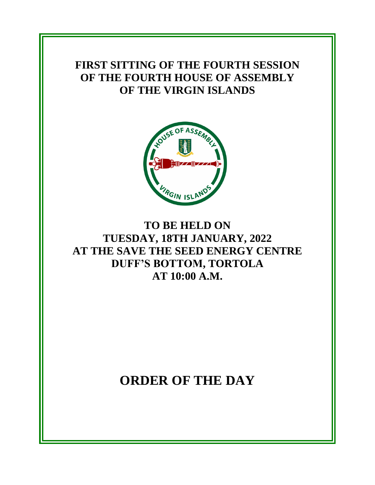**FIRST SITTING OF THE FOURTH SESSION OF THE FOURTH HOUSE OF ASSEMBLY OF THE VIRGIN ISLANDS**



### **TO BE HELD ON TUESDAY, 18TH JANUARY, 2022 AT THE SAVE THE SEED ENERGY CENTRE DUFF'S BOTTOM, TORTOLA AT 10:00 A.M.**

## **ORDER OF THE DAY**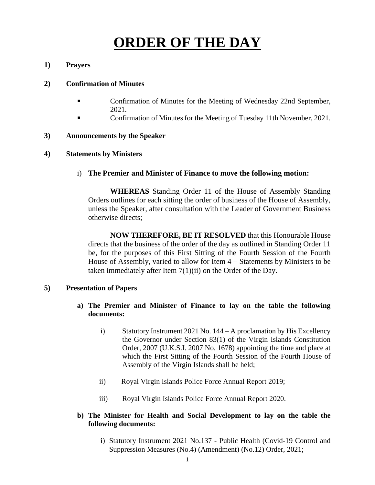# **ORDER OF THE DAY**

#### **1) Prayers**

#### **2) Confirmation of Minutes**

- Confirmation of Minutes for the Meeting of Wednesday 22nd September, 2021.
- Confirmation of Minutes for the Meeting of Tuesday 11th November, 2021.

#### **3) Announcements by the Speaker**

#### **4) Statements by Ministers**

i) **The Premier and Minister of Finance to move the following motion:**

**WHEREAS** Standing Order 11 of the House of Assembly Standing Orders outlines for each sitting the order of business of the House of Assembly, unless the Speaker, after consultation with the Leader of Government Business otherwise directs;

**NOW THEREFORE, BE IT RESOLVED** that this Honourable House directs that the business of the order of the day as outlined in Standing Order 11 be, for the purposes of this First Sitting of the Fourth Session of the Fourth House of Assembly, varied to allow for Item 4 – Statements by Ministers to be taken immediately after Item 7(1)(ii) on the Order of the Day.

#### **5) Presentation of Papers**

#### **a) The Premier and Minister of Finance to lay on the table the following documents:**

- i) Statutory Instrument 2021 No. 144 A proclamation by His Excellency the Governor under Section 83(1) of the Virgin Islands Constitution Order, 2007 (U.K.S.I. 2007 No. 1678) appointing the time and place at which the First Sitting of the Fourth Session of the Fourth House of Assembly of the Virgin Islands shall be held;
- ii) Royal Virgin Islands Police Force Annual Report 2019;
- iii) Royal Virgin Islands Police Force Annual Report 2020.

#### **b) The Minister for Health and Social Development to lay on the table the following documents:**

i) Statutory Instrument 2021 No.137 - Public Health (Covid-19 Control and Suppression Measures (No.4) (Amendment) (No.12) Order, 2021;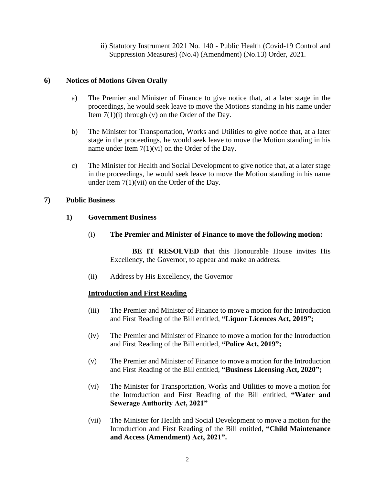ii) Statutory Instrument 2021 No. 140 - Public Health (Covid-19 Control and Suppression Measures) (No.4) (Amendment) (No.13) Order, 2021.

#### **6) Notices of Motions Given Orally**

- a) The Premier and Minister of Finance to give notice that, at a later stage in the proceedings, he would seek leave to move the Motions standing in his name under Item  $7(1)(i)$  through (v) on the Order of the Day.
- b) The Minister for Transportation, Works and Utilities to give notice that, at a later stage in the proceedings, he would seek leave to move the Motion standing in his name under Item 7(1)(vi) on the Order of the Day.
- c) The Minister for Health and Social Development to give notice that, at a later stage in the proceedings, he would seek leave to move the Motion standing in his name under Item 7(1)(vii) on the Order of the Day.

#### **7) Public Business**

#### **1) Government Business**

(i) **The Premier and Minister of Finance to move the following motion:**

**BE IT RESOLVED** that this Honourable House invites His Excellency, the Governor, to appear and make an address.

(ii) Address by His Excellency, the Governor

#### **Introduction and First Reading**

- (iii) The Premier and Minister of Finance to move a motion for the Introduction and First Reading of the Bill entitled, **"Liquor Licences Act, 2019";**
- (iv) The Premier and Minister of Finance to move a motion for the Introduction and First Reading of the Bill entitled, **"Police Act, 2019";**
- (v) The Premier and Minister of Finance to move a motion for the Introduction and First Reading of the Bill entitled, **"Business Licensing Act, 2020";**
- (vi) The Minister for Transportation, Works and Utilities to move a motion for the Introduction and First Reading of the Bill entitled, **"Water and Sewerage Authority Act, 2021"**
- (vii) The Minister for Health and Social Development to move a motion for the Introduction and First Reading of the Bill entitled, **"Child Maintenance and Access (Amendment) Act, 2021".**